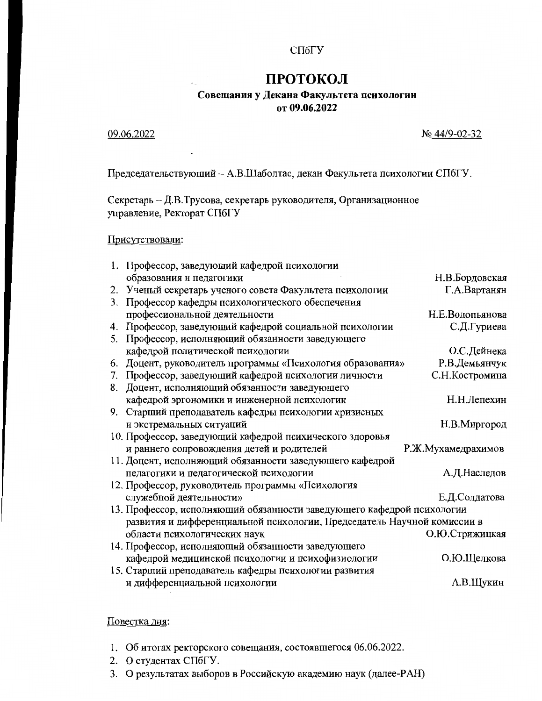#### СПбГУ

# ПРОТОКОЛ

## Совещания у Декана Факультета психологии от 09.06.2022

09.06.2022

№ 44/9-02-32

Председательствующий - А.В.Шаболтас, декан Факультета психологии СПбГУ.

Секретарь - Д.В.Трусова, секретарь руководителя, Организационное управление, Ректорат СПбГУ

#### Присутствовали:

|    | 1. Профессор, заведующий кафедрой психологии                            |                    |
|----|-------------------------------------------------------------------------|--------------------|
|    | образования и педагогики                                                | Н.В.Бордовская     |
|    | 2. Ученый секретарь ученого совета Факультета психологии                | Г.А.Вартанян       |
| 3. | Профессор кафедры психологического обеспечения                          |                    |
|    | профессиональной деятельности                                           | Н.Е.Водопьянова    |
| 4. | Профессор, заведующий кафедрой социальной психологии                    | С.Д.Гуриева        |
| 5. | Профессор, исполняющий обязанности заведующего                          |                    |
|    | кафедрой политической психологии                                        | О.С.Дейнека        |
| 6. | Доцент, руководитель программы «Психология образования»                 | Р.В.Демьянчук      |
| 7. | Профессор, заведующий кафедрой психологии личности                      | С.Н.Костромина     |
| 8. | Доцент, исполняющий обязанности заведующего                             |                    |
|    | кафедрой эргономики и инженерной психологии                             | Н.Н.Лепехин        |
|    | 9. Старший преподаватель кафедры психологии кризисных                   |                    |
|    | и экстремальных ситуаций                                                | Н.В.Миргород       |
|    | 10. Профессор, заведующий кафедрой психического здоровья                |                    |
|    | и раннего сопровождения детей и родителей                               | Р.Ж.Мухамедрахимов |
|    | 11. Доцент, исполняющий обязанности заведующего кафедрой                |                    |
|    | педагогики и педагогической психологии                                  | А.Д.Наследов       |
|    | 12. Профессор, руководитель программы «Психология                       |                    |
|    | служебной деятельности»                                                 | Е.Д.Солдатова      |
|    | 13. Профессор, исполняющий обязанности заведующего кафедрой психологии  |                    |
|    | развития и дифференциальной психологии, Председатель Научной комиссии в |                    |
|    | области психологических наук                                            | О.Ю.Стрижицкая     |
|    | 14. Профессор, исполняющий обязанности заведующего                      |                    |
|    | кафедрой медицинской психологии и психофизиологии                       | О.Ю.Щелкова        |
|    | 15. Старший преподаватель кафедры психологии развития                   |                    |
|    | и дифференциальной психологии                                           | А.В.Щукин          |
|    |                                                                         |                    |

#### Повестка дня:

- 1. Об итогах ректорского совещания, состоявшегося 06.06.2022.
- 2. О студентах СПбГУ
- 3. О результатах выборов в Российскую академию наук (далее-РАН)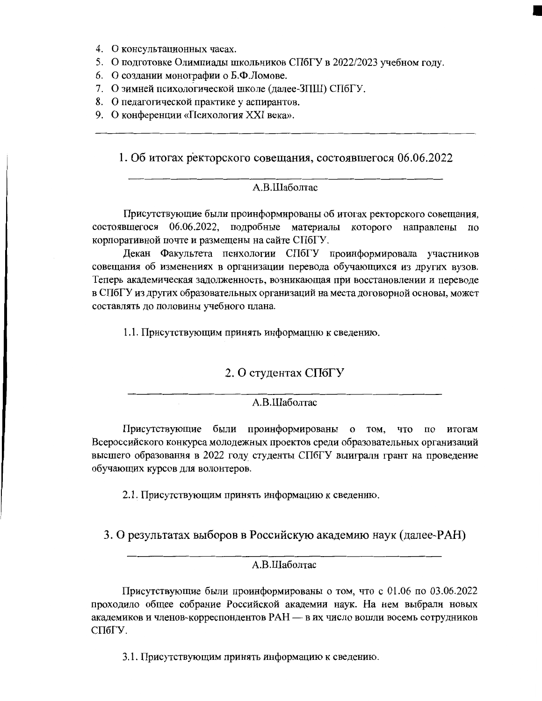- 4. О консультационных часах.
- 5. О подготовке Олимпиады школьников СПбГУ в 2022/2023 учебном году.
- 6. О создании монографии о Б.Ф.Ломове.
- 7. О зимней психологической школе (далее-ЗПШ) СПбГУ.
- 8. О педагогической практике у аспирантов.
- 9. О конференции «Психология XXI века».

1. Об итогах ректорского совещания, состоявшегося 06.06.2022

## А.В.Шаболтас

Присутствующие были проинформированы об итогах ректорского совещания, состоявшегося 06.06.2022, подробные материалы которого направлены по корпоративной почте и размещены на сайте СПбГУ.

Декан Факультета психологии СПбГУ проинформировала участников совещания об изменениях в организации перевода обучающихся из других вузов. Теперь академическая задолженность, возникающая при восстановлении и переводе в СПбГУ из других образовательных организаций на места договорной основы, может составлять до половины учебного плана.

1.1. Присутствующим принять информацию к сведению.

## 2. О студентах СПбГУ

#### А.В.Шаболтас

Присутствующие были проинформированы о том, что по итогам Всероссийского конкурса молодежных проектов среди образовательных организаций высшего образования в 2022 году студенты СПбГУ выиграли грант на проведение обучающих курсов для волонтеров.

2.1. Присутствующим принять информацию к сведению.

3. О результатах выборов в Российскую академию наук (далее-РАН)

### А.В.Шаболтас

Присутствующие были проинформированы о том, что с 01.06 по 03.06.2022 проходило общее собрание Российской академии наук. На нем выбрали новых академиков и членов-корреспондентов РАН - в их число вошли восемь сотрудников СПбГУ.

3.1. Присутствующим принять информацию к сведению.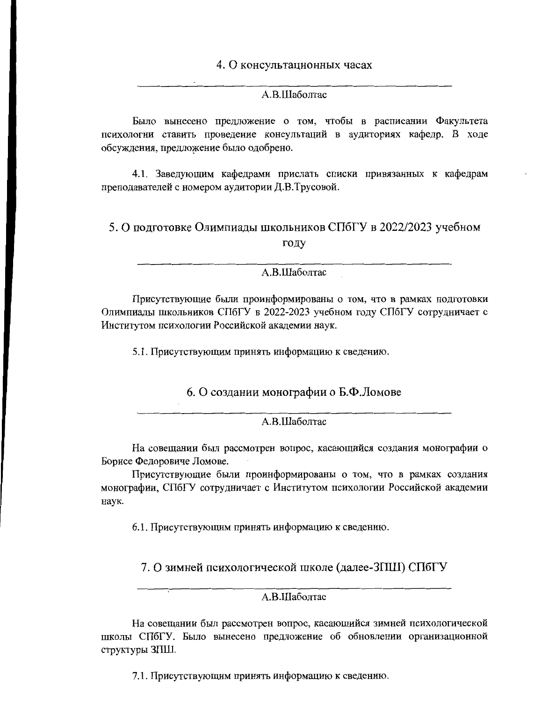4. О консультационных часах

## А.В.Шаболтас

Было вынесено предложение о том, чтобы в расписании Факультета психологии ставить проведение консультаций в аудиториях кафедр. В ходе обсуждения, предложение было одобрено.

4.1. Заведующим кафедрами прислать списки привязанных к кафедрам преподавателей с номером аудитории Д.В.Трусовой.

5. О подготовке Олимпиады школьников СПбГУ в 2022/2023 учебном году

А.В.Шаболтас

Присутствующие были проинформированы о том, что в рамках подготовки Олимпиады школьников СПбГУ в 2022-2023 учебном году СПбГУ сотрудничает с Институтом психологии Российской академии наук.

5.1. Присутствующим принять информацию к сведению.

6. О создании монографии о Б.Ф.Ломове

А.В.Шаболтас

На совещании был рассмотрен вопрос, касающийся создания монографии о Борисе Федоровиче Ломове.

Присутствующие были проинформированы о том, что в рамках создания монографии, СПбГУ сотрудничает с Институтом психологии Российской академии наук.

6.1. Присутствующим принять информацию к сведению.

7. О зимней психологической школе (далее-ЗПШ) СПбГУ

A.B.IIIаболтас

На совещании был рассмотрен вопрос, касающийся зимней психологической школы СПбГУ. Было вынесено предложение об обновлении организационной структуры ЗПШ.

7.1. Присутствующим принять информацию к сведению.